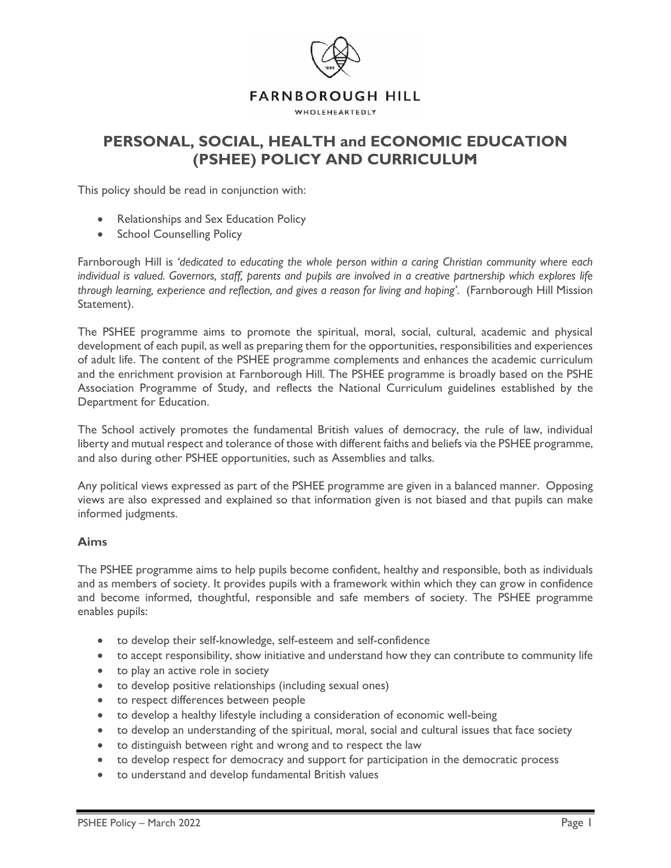

# **PERSONAL, SOCIAL, HEALTH and ECONOMIC EDUCATION (PSHEE) POLICY AND CURRICULUM**

This policy should be read in conjunction with:

- Relationships and Sex Education Policy
- School Counselling Policy

Farnborough Hill is *'dedicated to educating the whole person within a caring Christian community where each individual is valued. Governors, staff, parents and pupils are involved in a creative partnership which explores life through learning, experience and reflection, and gives a reason for living and hoping'*. (Farnborough Hill Mission Statement).

The PSHEE programme aims to promote the spiritual, moral, social, cultural, academic and physical development of each pupil, as well as preparing them for the opportunities, responsibilities and experiences of adult life. The content of the PSHEE programme complements and enhances the academic curriculum and the enrichment provision at Farnborough Hill. The PSHEE programme is broadly based on the PSHE Association Programme of Study, and reflects the National Curriculum guidelines established by the Department for Education.

The School actively promotes the fundamental British values of democracy, the rule of law, individual liberty and mutual respect and tolerance of those with different faiths and beliefs via the PSHEE programme, and also during other PSHEE opportunities, such as Assemblies and talks.

Any political views expressed as part of the PSHEE programme are given in a balanced manner. Opposing views are also expressed and explained so that information given is not biased and that pupils can make informed judgments.

### **Aims**

The PSHEE programme aims to help pupils become confident, healthy and responsible, both as individuals and as members of society. It provides pupils with a framework within which they can grow in confidence and become informed, thoughtful, responsible and safe members of society. The PSHEE programme enables pupils:

- to develop their self-knowledge, self-esteem and self-confidence
- to accept responsibility, show initiative and understand how they can contribute to community life
- to play an active role in society
- to develop positive relationships (including sexual ones)
- to respect differences between people
- to develop a healthy lifestyle including a consideration of economic well-being
- to develop an understanding of the spiritual, moral, social and cultural issues that face society
- to distinguish between right and wrong and to respect the law
- to develop respect for democracy and support for participation in the democratic process
- to understand and develop fundamental British values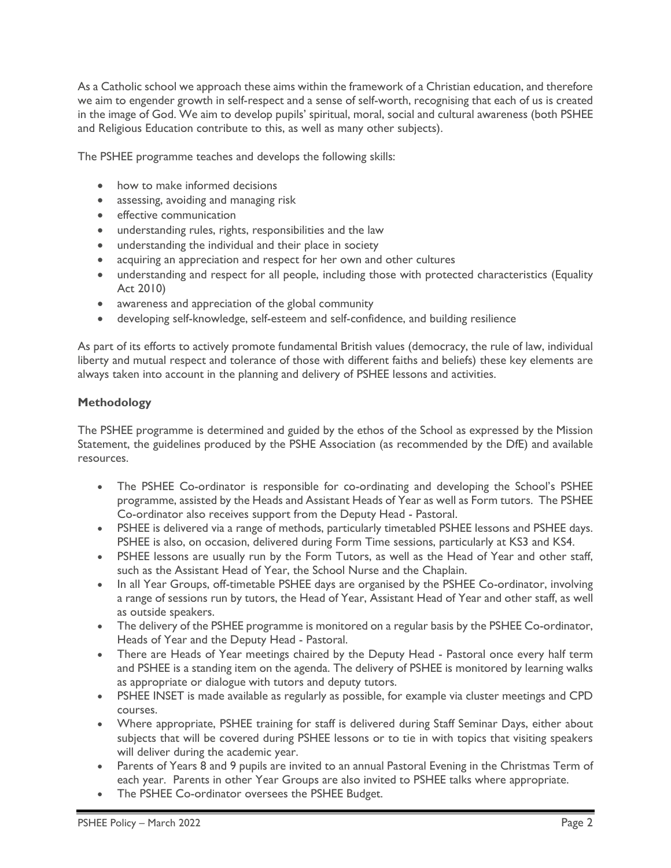As a Catholic school we approach these aims within the framework of a Christian education, and therefore we aim to engender growth in self-respect and a sense of self-worth, recognising that each of us is created in the image of God. We aim to develop pupils' spiritual, moral, social and cultural awareness (both PSHEE and Religious Education contribute to this, as well as many other subjects).

The PSHEE programme teaches and develops the following skills:

- how to make informed decisions
- assessing, avoiding and managing risk
- effective communication
- understanding rules, rights, responsibilities and the law
- understanding the individual and their place in society
- acquiring an appreciation and respect for her own and other cultures
- understanding and respect for all people, including those with protected characteristics (Equality Act 2010)
- awareness and appreciation of the global community
- developing self-knowledge, self-esteem and self-confidence, and building resilience

As part of its efforts to actively promote fundamental British values (democracy, the rule of law, individual liberty and mutual respect and tolerance of those with different faiths and beliefs) these key elements are always taken into account in the planning and delivery of PSHEE lessons and activities.

# **Methodology**

The PSHEE programme is determined and guided by the ethos of the School as expressed by the Mission Statement, the guidelines produced by the PSHE Association (as recommended by the DfE) and available resources.

- The PSHEE Co-ordinator is responsible for co-ordinating and developing the School's PSHEE programme, assisted by the Heads and Assistant Heads of Year as well as Form tutors. The PSHEE Co-ordinator also receives support from the Deputy Head - Pastoral.
- PSHEE is delivered via a range of methods, particularly timetabled PSHEE lessons and PSHEE days. PSHEE is also, on occasion, delivered during Form Time sessions, particularly at KS3 and KS4.
- PSHEE lessons are usually run by the Form Tutors, as well as the Head of Year and other staff, such as the Assistant Head of Year, the School Nurse and the Chaplain.
- In all Year Groups, off-timetable PSHEE days are organised by the PSHEE Co-ordinator, involving a range of sessions run by tutors, the Head of Year, Assistant Head of Year and other staff, as well as outside speakers.
- The delivery of the PSHEE programme is monitored on a regular basis by the PSHEE Co-ordinator, Heads of Year and the Deputy Head - Pastoral.
- There are Heads of Year meetings chaired by the Deputy Head Pastoral once every half term and PSHEE is a standing item on the agenda. The delivery of PSHEE is monitored by learning walks as appropriate or dialogue with tutors and deputy tutors.
- PSHEE INSET is made available as regularly as possible, for example via cluster meetings and CPD courses.
- Where appropriate, PSHEE training for staff is delivered during Staff Seminar Days, either about subjects that will be covered during PSHEE lessons or to tie in with topics that visiting speakers will deliver during the academic year.
- Parents of Years 8 and 9 pupils are invited to an annual Pastoral Evening in the Christmas Term of each year. Parents in other Year Groups are also invited to PSHEE talks where appropriate.
- The PSHEE Co-ordinator oversees the PSHEE Budget.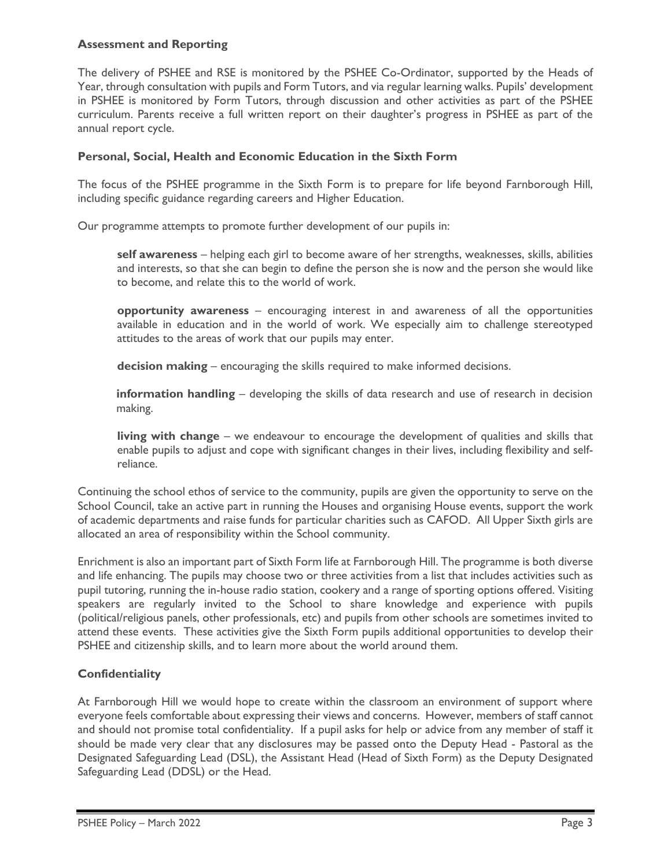#### **Assessment and Reporting**

The delivery of PSHEE and RSE is monitored by the PSHEE Co-Ordinator, supported by the Heads of Year, through consultation with pupils and Form Tutors, and via regular learning walks. Pupils' development in PSHEE is monitored by Form Tutors, through discussion and other activities as part of the PSHEE curriculum. Parents receive a full written report on their daughter's progress in PSHEE as part of the annual report cycle.

#### **Personal, Social, Health and Economic Education in the Sixth Form**

The focus of the PSHEE programme in the Sixth Form is to prepare for life beyond Farnborough Hill, including specific guidance regarding careers and Higher Education.

Our programme attempts to promote further development of our pupils in:

**self awareness** – helping each girl to become aware of her strengths, weaknesses, skills, abilities and interests, so that she can begin to define the person she is now and the person she would like to become, and relate this to the world of work.

**opportunity awareness** – encouraging interest in and awareness of all the opportunities available in education and in the world of work. We especially aim to challenge stereotyped attitudes to the areas of work that our pupils may enter.

**decision making** – encouraging the skills required to make informed decisions.

**information handling** – developing the skills of data research and use of research in decision making.

**living with change** – we endeavour to encourage the development of qualities and skills that enable pupils to adjust and cope with significant changes in their lives, including flexibility and selfreliance.

Continuing the school ethos of service to the community, pupils are given the opportunity to serve on the School Council, take an active part in running the Houses and organising House events, support the work of academic departments and raise funds for particular charities such as CAFOD. All Upper Sixth girls are allocated an area of responsibility within the School community.

Enrichment is also an important part of Sixth Form life at Farnborough Hill. The programme is both diverse and life enhancing. The pupils may choose two or three activities from a list that includes activities such as pupil tutoring, running the in-house radio station, cookery and a range of sporting options offered. Visiting speakers are regularly invited to the School to share knowledge and experience with pupils (political/religious panels, other professionals, etc) and pupils from other schools are sometimes invited to attend these events. These activities give the Sixth Form pupils additional opportunities to develop their PSHEE and citizenship skills, and to learn more about the world around them.

### **Confidentiality**

At Farnborough Hill we would hope to create within the classroom an environment of support where everyone feels comfortable about expressing their views and concerns. However, members of staff cannot and should not promise total confidentiality. If a pupil asks for help or advice from any member of staff it should be made very clear that any disclosures may be passed onto the Deputy Head - Pastoral as the Designated Safeguarding Lead (DSL), the Assistant Head (Head of Sixth Form) as the Deputy Designated Safeguarding Lead (DDSL) or the Head.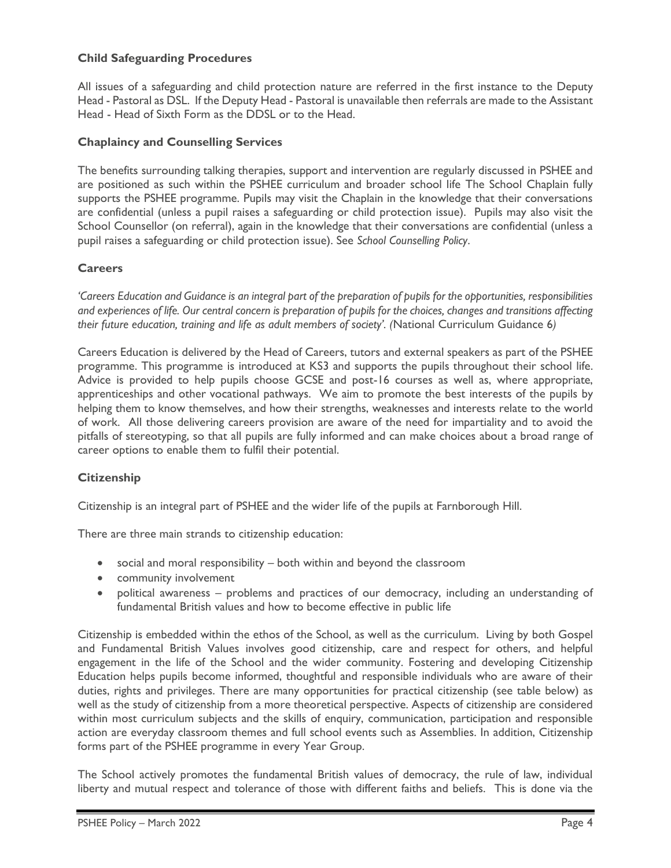### **Child Safeguarding Procedures**

All issues of a safeguarding and child protection nature are referred in the first instance to the Deputy Head - Pastoral as DSL. If the Deputy Head - Pastoral is unavailable then referrals are made to the Assistant Head - Head of Sixth Form as the DDSL or to the Head.

# **Chaplaincy and Counselling Services**

The benefits surrounding talking therapies, support and intervention are regularly discussed in PSHEE and are positioned as such within the PSHEE curriculum and broader school life The School Chaplain fully supports the PSHEE programme. Pupils may visit the Chaplain in the knowledge that their conversations are confidential (unless a pupil raises a safeguarding or child protection issue). Pupils may also visit the School Counsellor (on referral), again in the knowledge that their conversations are confidential (unless a pupil raises a safeguarding or child protection issue). See *School Counselling Policy*.

# **Careers**

*'Careers Education and Guidance is an integral part of the preparation of pupils for the opportunities, responsibilities and experiences of life. Our central concern is preparation of pupils for the choices, changes and transitions affecting their future education, training and life as adult members of society'. (*National Curriculum Guidance 6*)*

Careers Education is delivered by the Head of Careers, tutors and external speakers as part of the PSHEE programme. This programme is introduced at KS3 and supports the pupils throughout their school life. Advice is provided to help pupils choose GCSE and post-16 courses as well as, where appropriate, apprenticeships and other vocational pathways. We aim to promote the best interests of the pupils by helping them to know themselves, and how their strengths, weaknesses and interests relate to the world of work. All those delivering careers provision are aware of the need for impartiality and to avoid the pitfalls of stereotyping, so that all pupils are fully informed and can make choices about a broad range of career options to enable them to fulfil their potential.

# **Citizenship**

Citizenship is an integral part of PSHEE and the wider life of the pupils at Farnborough Hill.

There are three main strands to citizenship education:

- social and moral responsibility both within and beyond the classroom
- community involvement
- political awareness problems and practices of our democracy, including an understanding of fundamental British values and how to become effective in public life

Citizenship is embedded within the ethos of the School, as well as the curriculum. Living by both Gospel and Fundamental British Values involves good citizenship, care and respect for others, and helpful engagement in the life of the School and the wider community. Fostering and developing Citizenship Education helps pupils become informed, thoughtful and responsible individuals who are aware of their duties, rights and privileges. There are many opportunities for practical citizenship (see table below) as well as the study of citizenship from a more theoretical perspective. Aspects of citizenship are considered within most curriculum subjects and the skills of enquiry, communication, participation and responsible action are everyday classroom themes and full school events such as Assemblies. In addition, Citizenship forms part of the PSHEE programme in every Year Group.

The School actively promotes the fundamental British values of democracy, the rule of law, individual liberty and mutual respect and tolerance of those with different faiths and beliefs. This is done via the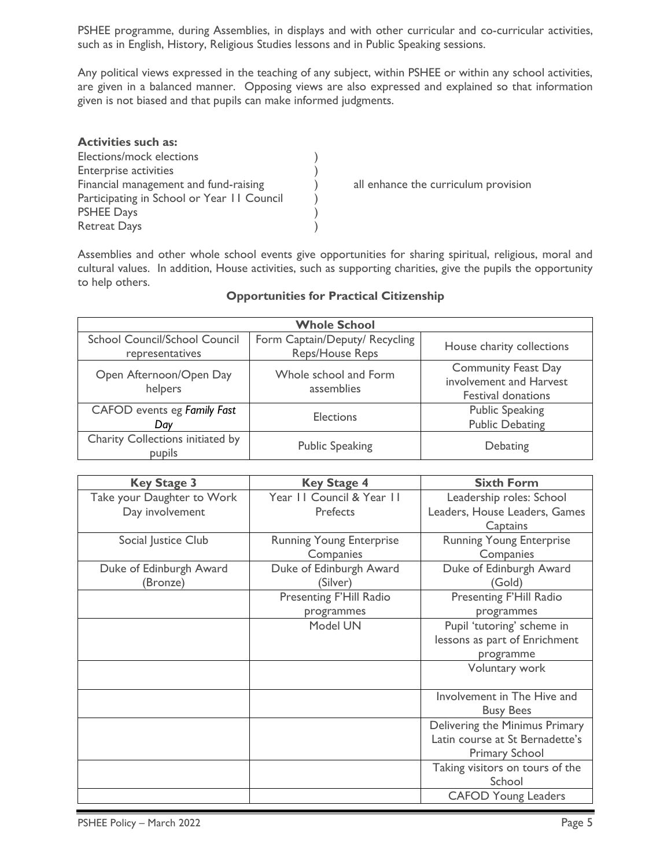PSHEE programme, during Assemblies, in displays and with other curricular and co-curricular activities, such as in English, History, Religious Studies lessons and in Public Speaking sessions.

Any political views expressed in the teaching of any subject, within PSHEE or within any school activities, are given in a balanced manner. Opposing views are also expressed and explained so that information given is not biased and that pupils can make informed judgments.

| <b>Activities such as:</b>                 |  |
|--------------------------------------------|--|
| Elections/mock elections                   |  |
| <b>Enterprise activities</b>               |  |
| Financial management and fund-raising      |  |
| Participating in School or Year II Council |  |
| <b>PSHEE Days</b>                          |  |
| <b>Retreat Days</b>                        |  |
|                                            |  |

Financial management and fund-raising provision<br>
(1)<br>
(1)

Assemblies and other whole school events give opportunities for sharing spiritual, religious, moral and cultural values. In addition, House activities, such as supporting charities, give the pupils the opportunity to help others.

| <b>Whole School</b>                                     |                                                   |                                                                                    |  |
|---------------------------------------------------------|---------------------------------------------------|------------------------------------------------------------------------------------|--|
| <b>School Council/School Council</b><br>representatives | Form Captain/Deputy/ Recycling<br>Reps/House Reps | House charity collections                                                          |  |
| Open Afternoon/Open Day<br>helpers                      | Whole school and Form<br>assemblies               | <b>Community Feast Day</b><br>involvement and Harvest<br><b>Festival donations</b> |  |
| CAFOD events eg Family Fast<br>Dav                      | <b>Elections</b>                                  | <b>Public Speaking</b><br><b>Public Debating</b>                                   |  |
| Charity Collections initiated by<br>pupils              | <b>Public Speaking</b>                            | Debating                                                                           |  |

### **Opportunities for Practical Citizenship**

| <b>Key Stage 3</b>         | <b>Key Stage 4</b>              | <b>Sixth Form</b>               |  |
|----------------------------|---------------------------------|---------------------------------|--|
| Take your Daughter to Work | Year II Council & Year II       | Leadership roles: School        |  |
| Day involvement            | <b>Prefects</b>                 | Leaders, House Leaders, Games   |  |
|                            |                                 | Captains                        |  |
| Social Justice Club        | <b>Running Young Enterprise</b> | <b>Running Young Enterprise</b> |  |
|                            | Companies                       | Companies                       |  |
| Duke of Edinburgh Award    | Duke of Edinburgh Award         | Duke of Edinburgh Award         |  |
| (Bronze)                   | (Silver)                        | (Gold)                          |  |
|                            | Presenting F'Hill Radio         | Presenting F'Hill Radio         |  |
|                            | programmes                      | programmes                      |  |
|                            | Model UN                        | Pupil 'tutoring' scheme in      |  |
|                            |                                 | lessons as part of Enrichment   |  |
|                            |                                 | programme                       |  |
|                            |                                 | Voluntary work                  |  |
|                            |                                 |                                 |  |
|                            |                                 | Involvement in The Hive and     |  |
|                            |                                 | <b>Busy Bees</b>                |  |
|                            |                                 | Delivering the Minimus Primary  |  |
|                            |                                 | Latin course at St Bernadette's |  |
|                            |                                 | <b>Primary School</b>           |  |
|                            |                                 | Taking visitors on tours of the |  |
|                            |                                 | School                          |  |
|                            |                                 | <b>CAFOD Young Leaders</b>      |  |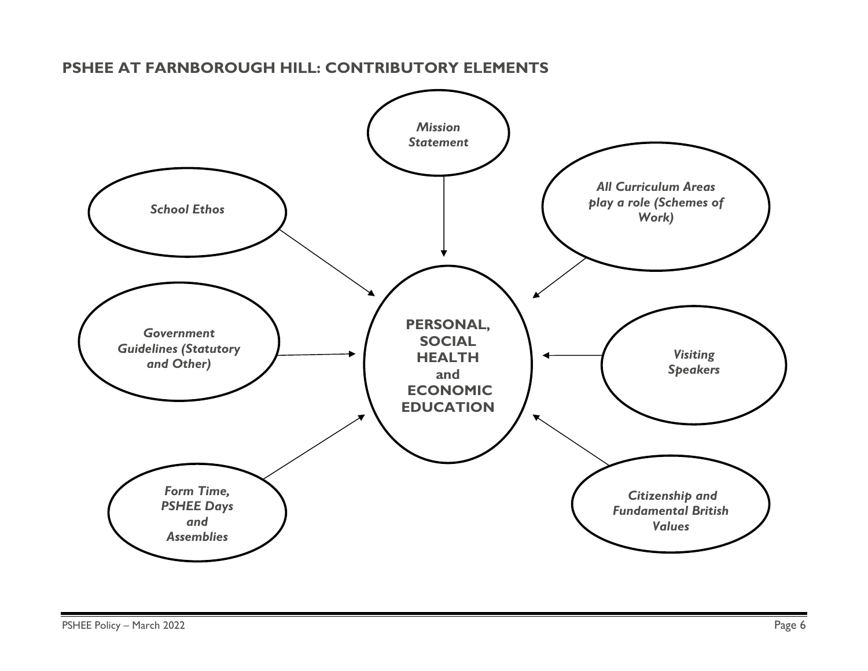# *School Ethos Citizenship and Fundamental British Values Visiting Speakers*  **PERSONAL, SOCIAL HEALTH and ECONOMIC EDUCATION** *Form Time, PSHEE Days and Assemblies All Curriculum Areas play a role (Schemes of Work) Mission Statement Government Guidelines (Statutory and Other)*

# **PSHEE AT FARNBOROUGH HILL: CONTRIBUTORY ELEMENTS**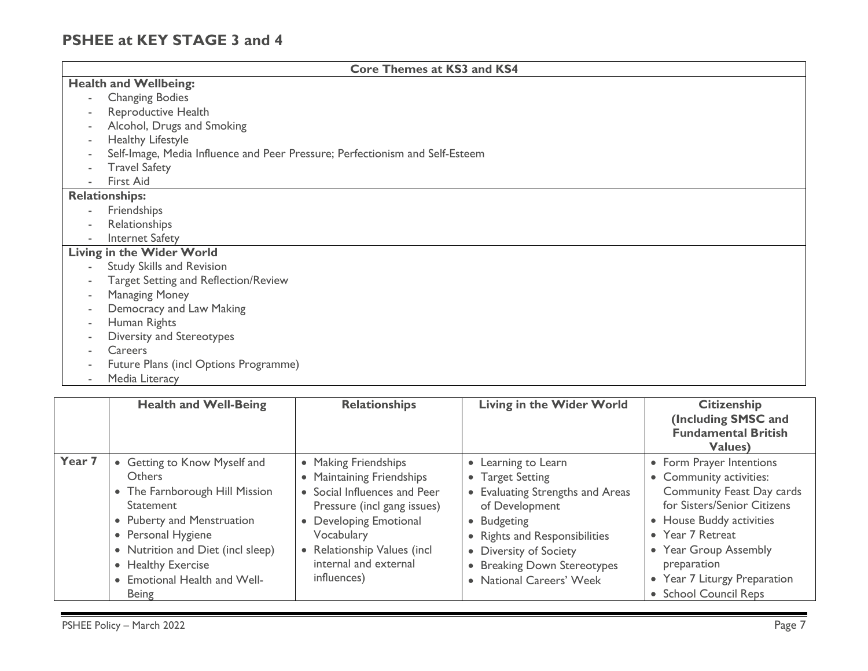# **PSHEE at KEY STAGE 3 and 4**

| <b>Core Themes at KS3 and KS4</b>                                            |  |  |  |
|------------------------------------------------------------------------------|--|--|--|
| <b>Health and Wellbeing:</b>                                                 |  |  |  |
| <b>Changing Bodies</b><br>$\sim$                                             |  |  |  |
| Reproductive Health                                                          |  |  |  |
| Alcohol, Drugs and Smoking                                                   |  |  |  |
| Healthy Lifestyle                                                            |  |  |  |
| Self-Image, Media Influence and Peer Pressure; Perfectionism and Self-Esteem |  |  |  |
| <b>Travel Safety</b>                                                         |  |  |  |
| <b>First Aid</b>                                                             |  |  |  |
| <b>Relationships:</b>                                                        |  |  |  |
| Friendships                                                                  |  |  |  |
| Relationships<br>$\overline{\phantom{a}}$                                    |  |  |  |
| Internet Safety                                                              |  |  |  |
| <b>Living in the Wider World</b>                                             |  |  |  |
| <b>Study Skills and Revision</b>                                             |  |  |  |
| Target Setting and Reflection/Review                                         |  |  |  |
| <b>Managing Money</b>                                                        |  |  |  |
| Democracy and Law Making                                                     |  |  |  |
| Human Rights                                                                 |  |  |  |
| Diversity and Stereotypes                                                    |  |  |  |
| <b>Careers</b>                                                               |  |  |  |
| Future Plans (incl Options Programme)                                        |  |  |  |
| Media Literacy                                                               |  |  |  |

|        | <b>Health and Well-Being</b>                                                                                                                                                                                                                                       | <b>Relationships</b>                                                                                                                                                                                                             | <b>Living in the Wider World</b>                                                                                                                                                                                                   | <b>Citizenship</b><br>(Including SMSC and<br><b>Fundamental British</b><br>Values)                                                                                                                                                                               |
|--------|--------------------------------------------------------------------------------------------------------------------------------------------------------------------------------------------------------------------------------------------------------------------|----------------------------------------------------------------------------------------------------------------------------------------------------------------------------------------------------------------------------------|------------------------------------------------------------------------------------------------------------------------------------------------------------------------------------------------------------------------------------|------------------------------------------------------------------------------------------------------------------------------------------------------------------------------------------------------------------------------------------------------------------|
| Year 7 | • Getting to Know Myself and<br><b>Others</b><br>• The Farnborough Hill Mission<br><b>Statement</b><br>• Puberty and Menstruation<br>• Personal Hygiene<br>• Nutrition and Diet (incl sleep)<br>• Healthy Exercise<br>• Emotional Health and Well-<br><b>Being</b> | • Making Friendships<br><b>Maintaining Friendships</b><br>• Social Influences and Peer<br>Pressure (incl gang issues)<br>Developing Emotional<br>Vocabulary<br>Relationship Values (incl<br>internal and external<br>influences) | • Learning to Learn<br>• Target Setting<br>• Evaluating Strengths and Areas<br>of Development<br>• Budgeting<br>• Rights and Responsibilities<br>• Diversity of Society<br>• Breaking Down Stereotypes<br>• National Careers' Week | • Form Prayer Intentions<br>• Community activities:<br>Community Feast Day cards<br>for Sisters/Senior Citizens<br>• House Buddy activities<br>• Year 7 Retreat<br>• Year Group Assembly<br>preparation<br>• Year 7 Liturgy Preparation<br>• School Council Reps |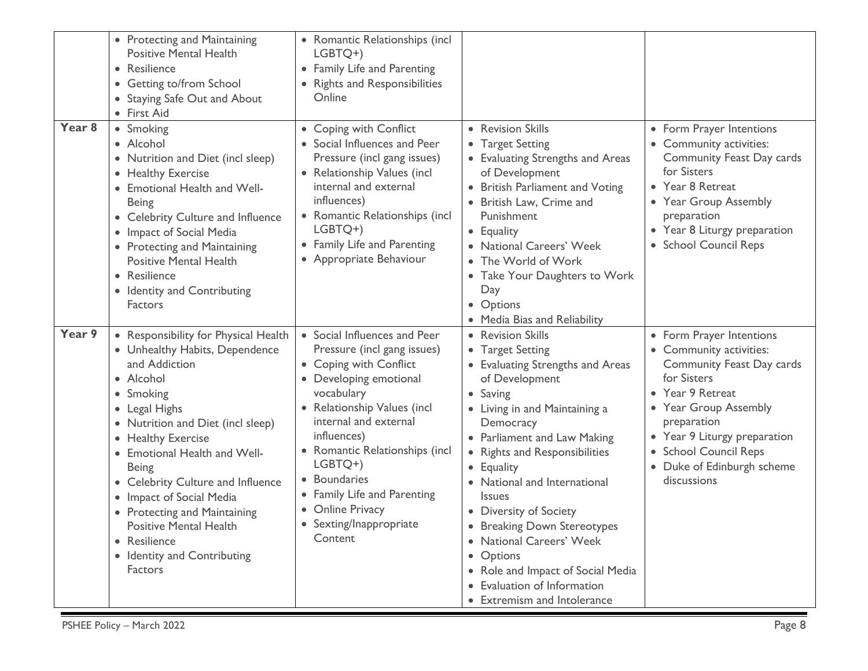|                   | • Protecting and Maintaining<br><b>Positive Mental Health</b><br>• Resilience<br>• Getting to/from School<br>• Staying Safe Out and About<br>• First Aid                                                                                                                                                                                                                                                                                     | • Romantic Relationships (incl<br>LGBTQ+)<br>• Family Life and Parenting<br>• Rights and Responsibilities<br>Online                                                                                                                                                                                                                                        |                                                                                                                                                                                                                                                                                                                                                                                                                                                                                                         |                                                                                                                                                                                                                                                                   |
|-------------------|----------------------------------------------------------------------------------------------------------------------------------------------------------------------------------------------------------------------------------------------------------------------------------------------------------------------------------------------------------------------------------------------------------------------------------------------|------------------------------------------------------------------------------------------------------------------------------------------------------------------------------------------------------------------------------------------------------------------------------------------------------------------------------------------------------------|---------------------------------------------------------------------------------------------------------------------------------------------------------------------------------------------------------------------------------------------------------------------------------------------------------------------------------------------------------------------------------------------------------------------------------------------------------------------------------------------------------|-------------------------------------------------------------------------------------------------------------------------------------------------------------------------------------------------------------------------------------------------------------------|
| Year <sub>8</sub> | • Smoking<br>• Alcohol<br>• Nutrition and Diet (incl sleep)<br>• Healthy Exercise<br>Emotional Health and Well-<br><b>Being</b><br>• Celebrity Culture and Influence<br>• Impact of Social Media<br>• Protecting and Maintaining<br><b>Positive Mental Health</b><br>• Resilience<br>• Identity and Contributing<br><b>Factors</b>                                                                                                           | • Coping with Conflict<br>• Social Influences and Peer<br>Pressure (incl gang issues)<br>• Relationship Values (incl<br>internal and external<br>influences)<br>• Romantic Relationships (incl<br>LGBTQ+)<br>• Family Life and Parenting<br>• Appropriate Behaviour                                                                                        | • Revision Skills<br>• Target Setting<br>• Evaluating Strengths and Areas<br>of Development<br>• British Parliament and Voting<br>• British Law, Crime and<br>Punishment<br>• Equality<br>• National Careers' Week<br>• The World of Work<br>• Take Your Daughters to Work<br>Day<br>• Options<br>• Media Bias and Reliability                                                                                                                                                                          | • Form Prayer Intentions<br>• Community activities:<br>Community Feast Day cards<br>for Sisters<br>• Year 8 Retreat<br>• Year Group Assembly<br>preparation<br>• Year 8 Liturgy preparation<br>• School Council Reps                                              |
| Year 9            | • Responsibility for Physical Health<br>• Unhealthy Habits, Dependence<br>and Addiction<br>• Alcohol<br>• Smoking<br>Legal Highs<br>• Nutrition and Diet (incl sleep)<br>• Healthy Exercise<br>• Emotional Health and Well-<br><b>Being</b><br><b>Celebrity Culture and Influence</b><br>• Impact of Social Media<br>• Protecting and Maintaining<br><b>Positive Mental Health</b><br>• Resilience<br>• Identity and Contributing<br>Factors | • Social Influences and Peer<br>Pressure (incl gang issues)<br>• Coping with Conflict<br>• Developing emotional<br>vocabulary<br>• Relationship Values (incl<br>internal and external<br>influences)<br>• Romantic Relationships (incl<br>LGBTQ+)<br>• Boundaries<br>• Family Life and Parenting<br>• Online Privacy<br>• Sexting/Inappropriate<br>Content | • Revision Skills<br>• Target Setting<br>• Evaluating Strengths and Areas<br>of Development<br>• Saving<br>• Living in and Maintaining a<br>Democracy<br>• Parliament and Law Making<br>• Rights and Responsibilities<br>• Equality<br>• National and International<br><i><u><b>Issues</b></u></i><br>• Diversity of Society<br>• Breaking Down Stereotypes<br>• National Careers' Week<br>• Options<br>• Role and Impact of Social Media<br>• Evaluation of Information<br>• Extremism and Intolerance | • Form Prayer Intentions<br>• Community activities:<br>Community Feast Day cards<br>for Sisters<br>• Year 9 Retreat<br>• Year Group Assembly<br>preparation<br>• Year 9 Liturgy preparation<br>• School Council Reps<br>• Duke of Edinburgh scheme<br>discussions |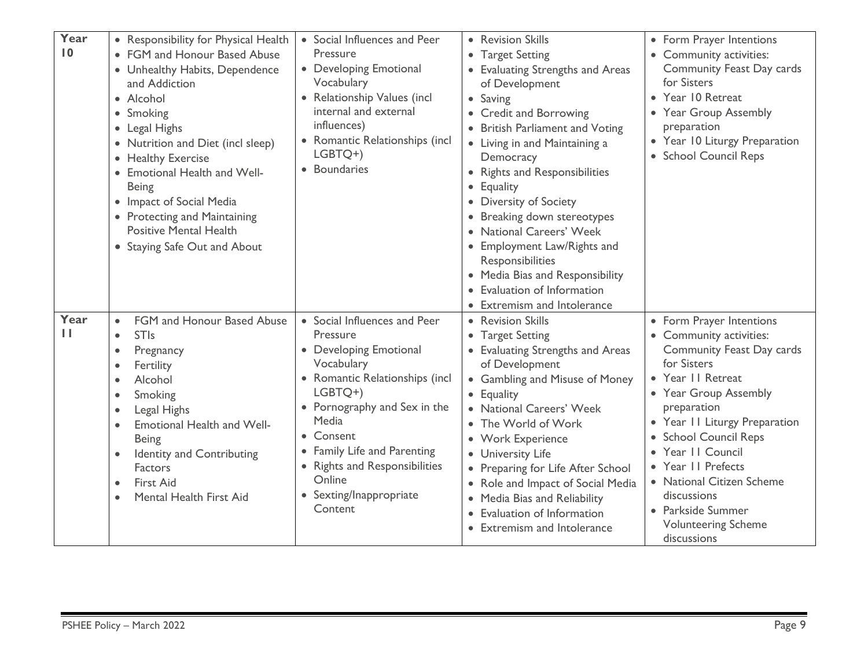| Year<br>$\overline{10}$ | • Responsibility for Physical Health<br>• FGM and Honour Based Abuse<br>• Unhealthy Habits, Dependence<br>and Addiction<br>• Alcohol<br>• Smoking<br>• Legal Highs<br>• Nutrition and Diet (incl sleep)<br>• Healthy Exercise<br>• Emotional Health and Well-<br><b>Being</b><br>• Impact of Social Media<br>• Protecting and Maintaining<br><b>Positive Mental Health</b><br>• Staying Safe Out and About | • Social Influences and Peer<br>Pressure<br>• Developing Emotional<br>Vocabulary<br>• Relationship Values (incl<br>internal and external<br>influences)<br>• Romantic Relationships (incl<br>LGBTQ+)<br>• Boundaries                                                                                | • Revision Skills<br>• Target Setting<br>• Evaluating Strengths and Areas<br>of Development<br>• Saving<br>• Credit and Borrowing<br>• British Parliament and Voting<br>• Living in and Maintaining a<br>Democracy<br>• Rights and Responsibilities<br>Equality<br>$\bullet$<br>• Diversity of Society<br>Breaking down stereotypes<br>• National Careers' Week<br>• Employment Law/Rights and<br>Responsibilities<br>• Media Bias and Responsibility<br>Evaluation of Information<br><b>Extremism and Intolerance</b> | • Form Prayer Intentions<br>• Community activities:<br>Community Feast Day cards<br>for Sisters<br>• Year 10 Retreat<br>• Year Group Assembly<br>preparation<br>• Year 10 Liturgy Preparation<br>• School Council Reps                                                                                                                                                          |
|-------------------------|------------------------------------------------------------------------------------------------------------------------------------------------------------------------------------------------------------------------------------------------------------------------------------------------------------------------------------------------------------------------------------------------------------|-----------------------------------------------------------------------------------------------------------------------------------------------------------------------------------------------------------------------------------------------------------------------------------------------------|------------------------------------------------------------------------------------------------------------------------------------------------------------------------------------------------------------------------------------------------------------------------------------------------------------------------------------------------------------------------------------------------------------------------------------------------------------------------------------------------------------------------|---------------------------------------------------------------------------------------------------------------------------------------------------------------------------------------------------------------------------------------------------------------------------------------------------------------------------------------------------------------------------------|
| Year<br>$\mathbf{H}$    | FGM and Honour Based Abuse<br>$\bullet$<br><b>STIs</b><br>$\bullet$<br>Pregnancy<br>$\bullet$<br>Fertility<br>Alcohol<br>$\bullet$<br>Smoking<br>٠<br>Legal Highs<br>$\bullet$<br>Emotional Health and Well-<br>$\bullet$<br><b>Being</b><br>Identity and Contributing<br>$\bullet$<br>Factors<br>First Aid<br>$\bullet$<br>Mental Health First Aid                                                        | • Social Influences and Peer<br>Pressure<br>• Developing Emotional<br>Vocabulary<br>• Romantic Relationships (incl<br>LGBTQ+)<br>• Pornography and Sex in the<br>Media<br>• Consent<br>• Family Life and Parenting<br>• Rights and Responsibilities<br>Online<br>• Sexting/Inappropriate<br>Content | • Revision Skills<br>• Target Setting<br>• Evaluating Strengths and Areas<br>of Development<br>• Gambling and Misuse of Money<br>• Equality<br>• National Careers' Week<br>• The World of Work<br>• Work Experience<br>• University Life<br>• Preparing for Life After School<br>• Role and Impact of Social Media<br>• Media Bias and Reliability<br>• Evaluation of Information<br>• Extremism and Intolerance                                                                                                       | • Form Prayer Intentions<br>• Community activities:<br>Community Feast Day cards<br>for Sisters<br>• Year II Retreat<br>• Year Group Assembly<br>preparation<br>• Year II Liturgy Preparation<br>• School Council Reps<br>• Year II Council<br>• Year II Prefects<br>• National Citizen Scheme<br>discussions<br>• Parkside Summer<br><b>Volunteering Scheme</b><br>discussions |